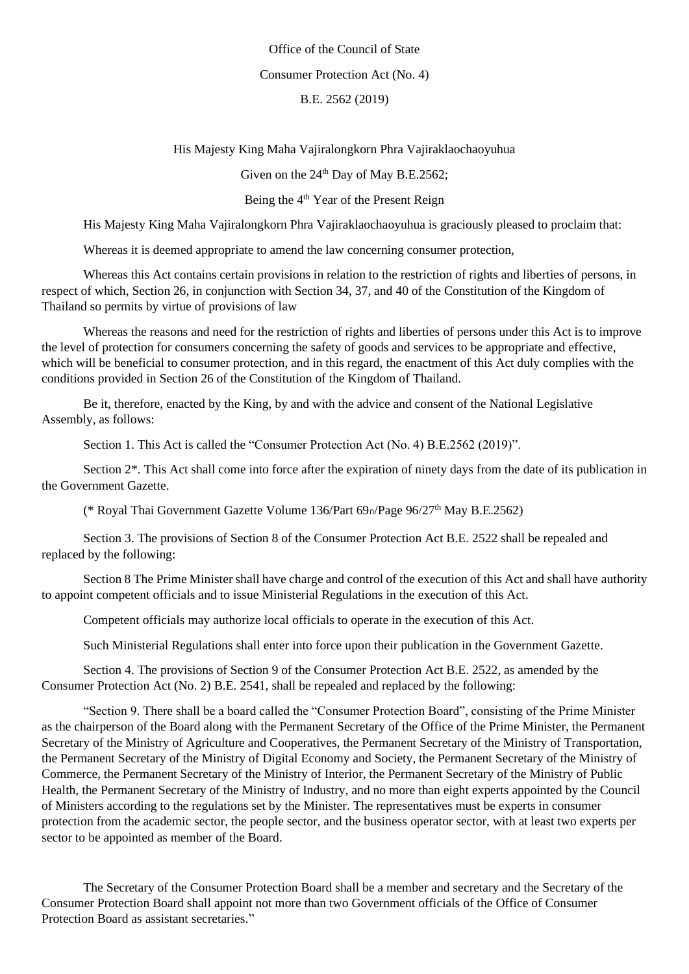Office of the Council of State Consumer Protection Act (No. 4) B.E. 2562 (2019)

His Majesty King Maha Vajiralongkorn Phra Vajiraklaochaoyuhua

Given on the  $24<sup>th</sup>$  Day of May B.E.2562;

Being the  $4<sup>th</sup>$  Year of the Present Reign

His Majesty King Maha Vajiralongkorn Phra Vajiraklaochaoyuhua is graciously pleased to proclaim that:

Whereas it is deemed appropriate to amend the law concerning consumer protection,

Whereas this Act contains certain provisions in relation to the restriction of rights and liberties of persons, in respect of which, Section 26, in conjunction with Section 34, 37, and 40 of the Constitution of the Kingdom of Thailand so permits by virtue of provisions of law

Whereas the reasons and need for the restriction of rights and liberties of persons under this Act is to improve the level of protection for consumers concerning the safety of goods and services to be appropriate and effective, which will be beneficial to consumer protection, and in this regard, the enactment of this Act duly complies with the conditions provided in Section 26 of the Constitution of the Kingdom of Thailand.

Be it, therefore, enacted by the King, by and with the advice and consent of the National Legislative Assembly, as follows:

Section 1. This Act is called the "Consumer Protection Act (No. 4) B.E.2562 (2019)".

Section 2\*. This Act shall come into force after the expiration of ninety days from the date of its publication in the Government Gazette.

(\* Royal Thai Government Gazette Volume 136/Part 69ก/Page 96/27th May B.E.2562)

Section 3. The provisions of Section 8 of the Consumer Protection Act B.E. 2522 shall be repealed and replaced by the following:

Section 8 The Prime Minister shall have charge and control of the execution of this Act and shall have authority to appoint competent officials and to issue Ministerial Regulations in the execution of this Act.

Competent officials may authorize local officials to operate in the execution of this Act.

Such Ministerial Regulations shall enter into force upon their publication in the Government Gazette.

Section 4. The provisions of Section 9 of the Consumer Protection Act B.E. 2522, as amended by the Consumer Protection Act (No. 2) B.E. 2541, shall be repealed and replaced by the following:

"Section 9. There shall be a board called the "Consumer Protection Board", consisting of the Prime Minister as the chairperson of the Board along with the Permanent Secretary of the Office of the Prime Minister, the Permanent Secretary of the Ministry of Agriculture and Cooperatives, the Permanent Secretary of the Ministry of Transportation, the Permanent Secretary of the Ministry of Digital Economy and Society, the Permanent Secretary of the Ministry of Commerce, the Permanent Secretary of the Ministry of Interior, the Permanent Secretary of the Ministry of Public Health, the Permanent Secretary of the Ministry of Industry, and no more than eight experts appointed by the Council of Ministers according to the regulations set by the Minister. The representatives must be experts in consumer protection from the academic sector, the people sector, and the business operator sector, with at least two experts per sector to be appointed as member of the Board.

The Secretary of the Consumer Protection Board shall be a member and secretary and the Secretary of the Consumer Protection Board shall appoint not more than two Government officials of the Office of Consumer Protection Board as assistant secretaries."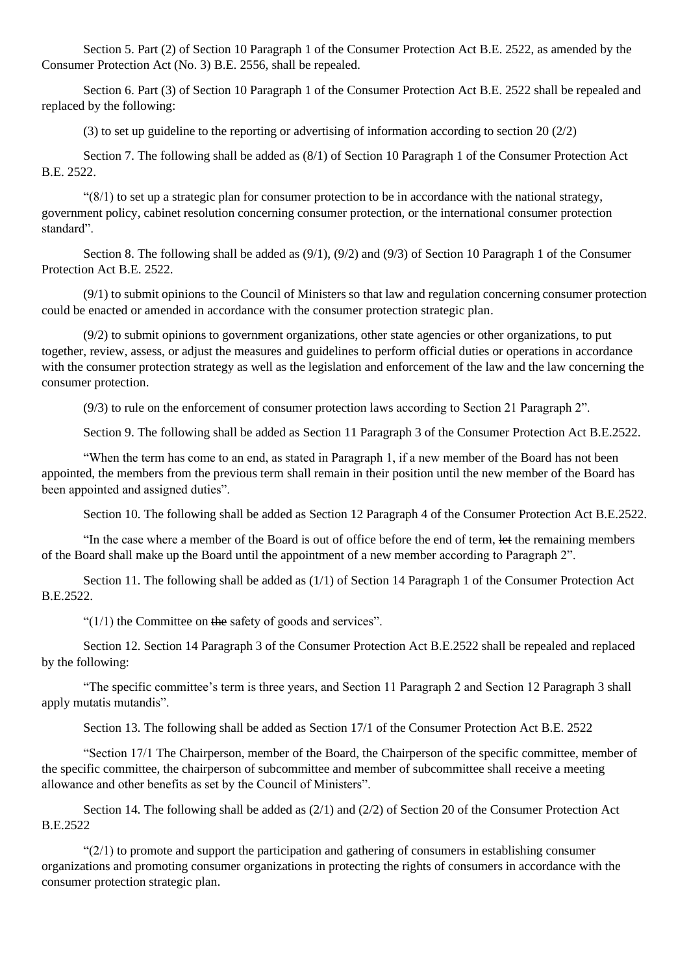Section 5. Part (2) of Section 10 Paragraph 1 of the Consumer Protection Act B.E. 2522, as amended by the Consumer Protection Act (No. 3) B.E. 2556, shall be repealed.

Section 6. Part (3) of Section 10 Paragraph 1 of the Consumer Protection Act B.E. 2522 shall be repealed and replaced by the following:

(3) to set up guideline to the reporting or advertising of information according to section 20 (2/2)

Section 7. The following shall be added as (8/1) of Section 10 Paragraph 1 of the Consumer Protection Act B.E. 2522.

 $(8/1)$  to set up a strategic plan for consumer protection to be in accordance with the national strategy, government policy, cabinet resolution concerning consumer protection, or the international consumer protection standard".

Section 8. The following shall be added as (9/1), (9/2) and (9/3) of Section 10 Paragraph 1 of the Consumer Protection Act B.E. 2522.

(9/1) to submit opinions to the Council of Ministers so that law and regulation concerning consumer protection could be enacted or amended in accordance with the consumer protection strategic plan.

 $(9/2)$  to submit opinions to government organizations, other state agencies or other organizations, to put together, review, assess, or adjust the measures and guidelines to perform official duties or operations in accordance with the consumer protection strategy as well as the legislation and enforcement of the law and the law concerning the consumer protection.

(9/3) to rule on the enforcement of consumer protection laws according to Section 21 Paragraph 2".

Section 9. The following shall be added as Section 11 Paragraph 3 of the Consumer Protection Act B.E.2522.

"When the term has come to an end, as stated in Paragraph 1, if a new member of the Board has not been appointed, the members from the previous term shall remain in their position until the new member of the Board has been appointed and assigned duties".

Section 10. The following shall be added as Section 12 Paragraph 4 of the Consumer Protection Act B.E.2522.

"In the case where a member of the Board is out of office before the end of term, let the remaining members of the Board shall make up the Board until the appointment of a new member according to Paragraph 2".

Section 11. The following shall be added as (1/1) of Section 14 Paragraph 1 of the Consumer Protection Act B.E.2522.

" $(1/1)$  the Committee on the safety of goods and services".

Section 12. Section 14 Paragraph 3 of the Consumer Protection Act B.E.2522 shall be repealed and replaced by the following:

"The specific committee's term is three years, and Section 11 Paragraph 2 and Section 12 Paragraph 3 shall apply mutatis mutandis".

Section 13. The following shall be added as Section 17/1 of the Consumer Protection Act B.E. 2522

"Section 17/1 The Chairperson, member of the Board, the Chairperson of the specific committee, member of the specific committee, the chairperson of subcommittee and member of subcommittee shall receive a meeting allowance and other benefits as set by the Council of Ministers".

Section 14. The following shall be added as (2/1) and (2/2) of Section 20 of the Consumer Protection Act B.E.2522

 $\frac{1}{2}(2/1)$  to promote and support the participation and gathering of consumers in establishing consumer organizations and promoting consumer organizations in protecting the rights of consumers in accordance with the consumer protection strategic plan.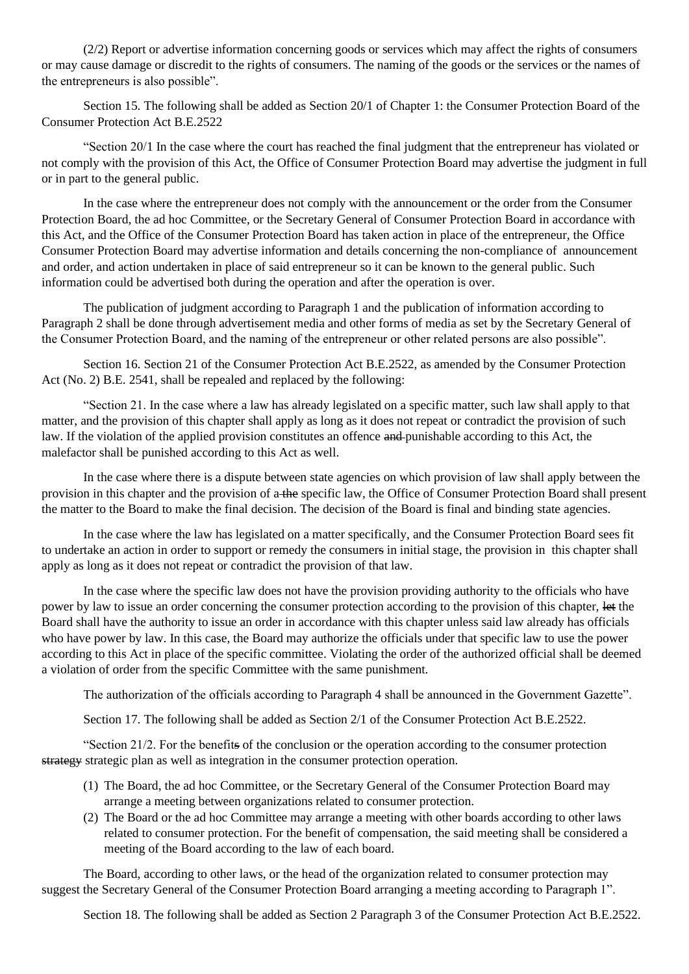(2/2) Report or advertise information concerning goods or services which may affect the rights of consumers or may cause damage or discredit to the rights of consumers. The naming of the goods or the services or the names of the entrepreneurs is also possible".

Section 15. The following shall be added as Section 20/1 of Chapter 1: the Consumer Protection Board of the Consumer Protection Act B.E.2522

"Section 20/1 In the case where the court has reached the final judgment that the entrepreneur has violated or not comply with the provision of this Act, the Office of Consumer Protection Board may advertise the judgment in full or in part to the general public.

In the case where the entrepreneur does not comply with the announcement or the order from the Consumer Protection Board, the ad hoc Committee, or the Secretary General of Consumer Protection Board in accordance with this Act, and the Office of the Consumer Protection Board has taken action in place of the entrepreneur, the Office Consumer Protection Board may advertise information and details concerning the non-compliance of announcement and order, and action undertaken in place of said entrepreneur so it can be known to the general public. Such information could be advertised both during the operation and after the operation is over.

The publication of judgment according to Paragraph 1 and the publication of information according to Paragraph 2 shall be done through advertisement media and other forms of media as set by the Secretary General of the Consumer Protection Board, and the naming of the entrepreneur or other related persons are also possible".

Section 16. Section 21 of the Consumer Protection Act B.E.2522, as amended by the Consumer Protection Act (No. 2) B.E. 2541, shall be repealed and replaced by the following:

"Section 21. In the case where a law has already legislated on a specific matter, such law shall apply to that matter, and the provision of this chapter shall apply as long as it does not repeat or contradict the provision of such law. If the violation of the applied provision constitutes an offence and punishable according to this Act, the malefactor shall be punished according to this Act as well.

In the case where there is a dispute between state agencies on which provision of law shall apply between the provision in this chapter and the provision of a the specific law, the Office of Consumer Protection Board shall present the matter to the Board to make the final decision. The decision of the Board is final and binding state agencies.

In the case where the law has legislated on a matter specifically, and the Consumer Protection Board sees fit to undertake an action in order to support or remedy the consumers in initial stage, the provision in this chapter shall apply as long as it does not repeat or contradict the provision of that law.

In the case where the specific law does not have the provision providing authority to the officials who have power by law to issue an order concerning the consumer protection according to the provision of this chapter, let the Board shall have the authority to issue an order in accordance with this chapter unless said law already has officials who have power by law. In this case, the Board may authorize the officials under that specific law to use the power according to this Act in place of the specific committee. Violating the order of the authorized official shall be deemed a violation of order from the specific Committee with the same punishment.

The authorization of the officials according to Paragraph 4 shall be announced in the Government Gazette".

Section 17. The following shall be added as Section 2/1 of the Consumer Protection Act B.E.2522.

"Section 21/2. For the benefits of the conclusion or the operation according to the consumer protection strategy strategic plan as well as integration in the consumer protection operation.

- (1) The Board, the ad hoc Committee, or the Secretary General of the Consumer Protection Board may arrange a meeting between organizations related to consumer protection.
- (2) The Board or the ad hoc Committee may arrange a meeting with other boards according to other laws related to consumer protection. For the benefit of compensation, the said meeting shall be considered a meeting of the Board according to the law of each board.

The Board, according to other laws, or the head of the organization related to consumer protection may suggest the Secretary General of the Consumer Protection Board arranging a meeting according to Paragraph 1".

Section 18. The following shall be added as Section 2 Paragraph 3 of the Consumer Protection Act B.E.2522.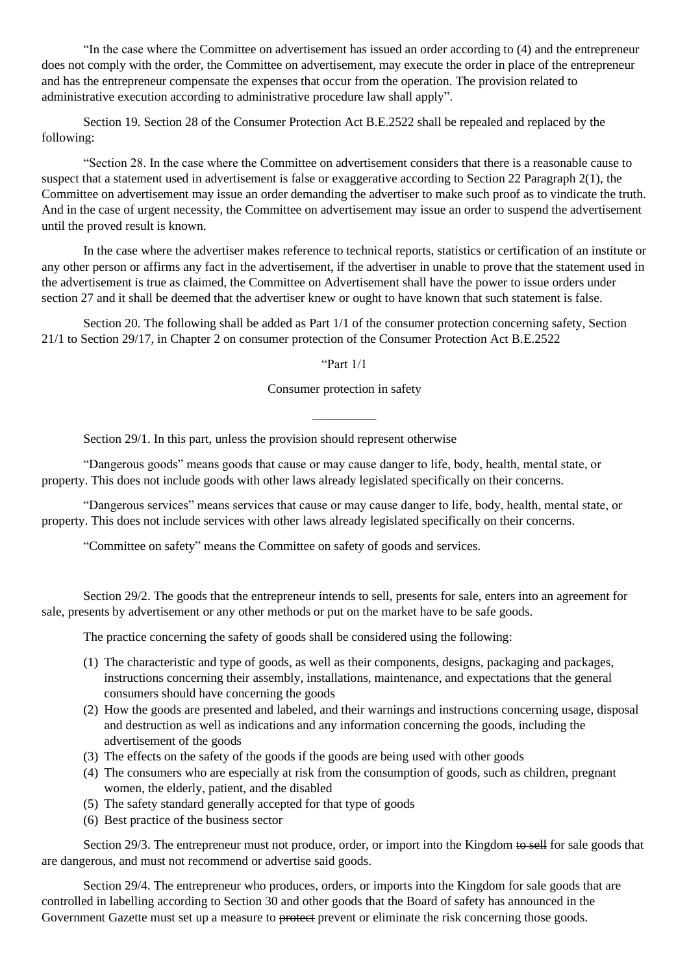"In the case where the Committee on advertisement has issued an order according to (4) and the entrepreneur does not comply with the order, the Committee on advertisement, may execute the order in place of the entrepreneur and has the entrepreneur compensate the expenses that occur from the operation. The provision related to administrative execution according to administrative procedure law shall apply".

Section 19. Section 28 of the Consumer Protection Act B.E.2522 shall be repealed and replaced by the following:

"Section 28. In the case where the Committee on advertisement considers that there is a reasonable cause to suspect that a statement used in advertisement is false or exaggerative according to Section 22 Paragraph 2(1), the Committee on advertisement may issue an order demanding the advertiser to make such proof as to vindicate the truth. And in the case of urgent necessity, the Committee on advertisement may issue an order to suspend the advertisement until the proved result is known.

In the case where the advertiser makes reference to technical reports, statistics or certification of an institute or any other person or affirms any fact in the advertisement, if the advertiser in unable to prove that the statement used in the advertisement is true as claimed, the Committee on Advertisement shall have the power to issue orders under section 27 and it shall be deemed that the advertiser knew or ought to have known that such statement is false.

Section 20. The following shall be added as Part 1/1 of the consumer protection concerning safety, Section 21/1 to Section 29/17, in Chapter 2 on consumer protection of the Consumer Protection Act B.E.2522

"Part 1/1

Consumer protection in safety

\_\_\_\_\_\_\_\_\_\_

Section 29/1. In this part, unless the provision should represent otherwise

"Dangerous goods" means goods that cause or may cause danger to life, body, health, mental state, or property. This does not include goods with other laws already legislated specifically on their concerns.

"Dangerous services" means services that cause or may cause danger to life, body, health, mental state, or property. This does not include services with other laws already legislated specifically on their concerns.

"Committee on safety" means the Committee on safety of goods and services.

Section 29/2. The goods that the entrepreneur intends to sell, presents for sale, enters into an agreement for sale, presents by advertisement or any other methods or put on the market have to be safe goods.

The practice concerning the safety of goods shall be considered using the following:

- (1) The characteristic and type of goods, as well as their components, designs, packaging and packages, instructions concerning their assembly, installations, maintenance, and expectations that the general consumers should have concerning the goods
- (2) How the goods are presented and labeled, and their warnings and instructions concerning usage, disposal and destruction as well as indications and any information concerning the goods, including the advertisement of the goods
- (3) The effects on the safety of the goods if the goods are being used with other goods
- (4) The consumers who are especially at risk from the consumption of goods, such as children, pregnant women, the elderly, patient, and the disabled
- (5) The safety standard generally accepted for that type of goods
- (6) Best practice of the business sector

Section 29/3. The entrepreneur must not produce, order, or import into the Kingdom to sell for sale goods that are dangerous, and must not recommend or advertise said goods.

Section 29/4. The entrepreneur who produces, orders, or imports into the Kingdom for sale goods that are controlled in labelling according to Section 30 and other goods that the Board of safety has announced in the Government Gazette must set up a measure to protect prevent or eliminate the risk concerning those goods.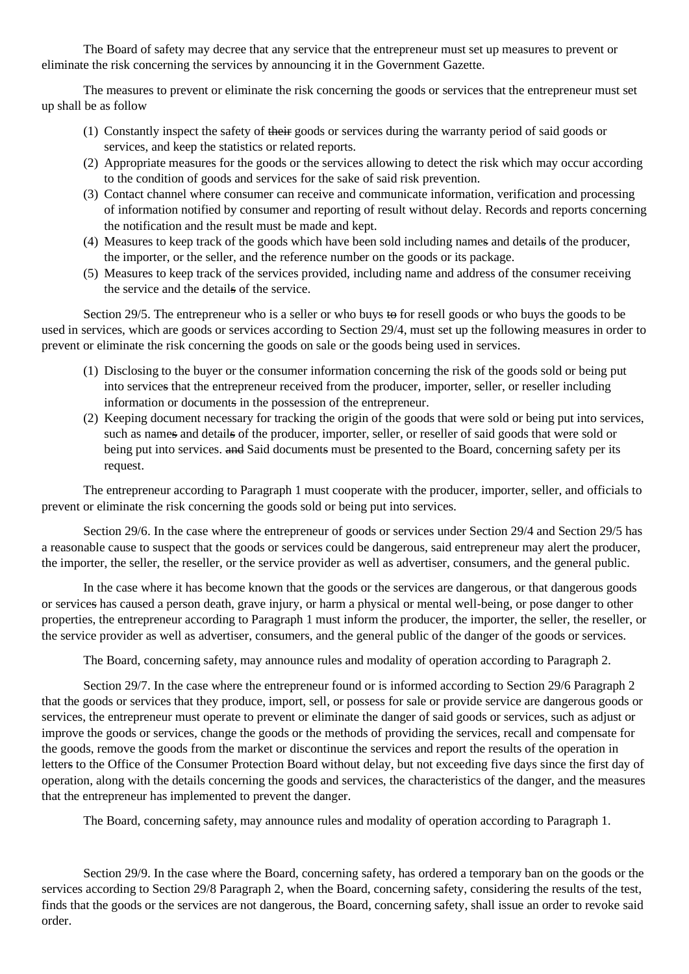The Board of safety may decree that any service that the entrepreneur must set up measures to prevent or eliminate the risk concerning the services by announcing it in the Government Gazette.

The measures to prevent or eliminate the risk concerning the goods or services that the entrepreneur must set up shall be as follow

- (1) Constantly inspect the safety of their goods or services during the warranty period of said goods or services, and keep the statistics or related reports.
- (2) Appropriate measures for the goods or the services allowing to detect the risk which may occur according to the condition of goods and services for the sake of said risk prevention.
- (3) Contact channel where consumer can receive and communicate information, verification and processing of information notified by consumer and reporting of result without delay. Records and reports concerning the notification and the result must be made and kept.
- (4) Measures to keep track of the goods which have been sold including names and details of the producer, the importer, or the seller, and the reference number on the goods or its package.
- (5) Measures to keep track of the services provided, including name and address of the consumer receiving the service and the details of the service.

Section 29/5. The entrepreneur who is a seller or who buys to for resell goods or who buys the goods to be used in services, which are goods or services according to Section 29/4, must set up the following measures in order to prevent or eliminate the risk concerning the goods on sale or the goods being used in services.

- (1) Disclosing to the buyer or the consumer information concerning the risk of the goods sold or being put into services that the entrepreneur received from the producer, importer, seller, or reseller including information or documents in the possession of the entrepreneur.
- (2) Keeping document necessary for tracking the origin of the goods that were sold or being put into services, such as names and details of the producer, importer, seller, or reseller of said goods that were sold or being put into services. and Said documents must be presented to the Board, concerning safety per its request.

The entrepreneur according to Paragraph 1 must cooperate with the producer, importer, seller, and officials to prevent or eliminate the risk concerning the goods sold or being put into services.

Section 29/6. In the case where the entrepreneur of goods or services under Section 29/4 and Section 29/5 has a reasonable cause to suspect that the goods or services could be dangerous, said entrepreneur may alert the producer, the importer, the seller, the reseller, or the service provider as well as advertiser, consumers, and the general public.

In the case where it has become known that the goods or the services are dangerous, or that dangerous goods or services has caused a person death, grave injury, or harm a physical or mental well-being, or pose danger to other properties, the entrepreneur according to Paragraph 1 must inform the producer, the importer, the seller, the reseller, or the service provider as well as advertiser, consumers, and the general public of the danger of the goods or services.

The Board, concerning safety, may announce rules and modality of operation according to Paragraph 2.

Section 29/7. In the case where the entrepreneur found or is informed according to Section 29/6 Paragraph 2 that the goods or services that they produce, import, sell, or possess for sale or provide service are dangerous goods or services, the entrepreneur must operate to prevent or eliminate the danger of said goods or services, such as adjust or improve the goods or services, change the goods or the methods of providing the services, recall and compensate for the goods, remove the goods from the market or discontinue the services and report the results of the operation in letters to the Office of the Consumer Protection Board without delay, but not exceeding five days since the first day of operation, along with the details concerning the goods and services, the characteristics of the danger, and the measures that the entrepreneur has implemented to prevent the danger.

The Board, concerning safety, may announce rules and modality of operation according to Paragraph 1.

Section 29/9. In the case where the Board, concerning safety, has ordered a temporary ban on the goods or the services according to Section 29/8 Paragraph 2, when the Board, concerning safety, considering the results of the test, finds that the goods or the services are not dangerous, the Board, concerning safety, shall issue an order to revoke said order.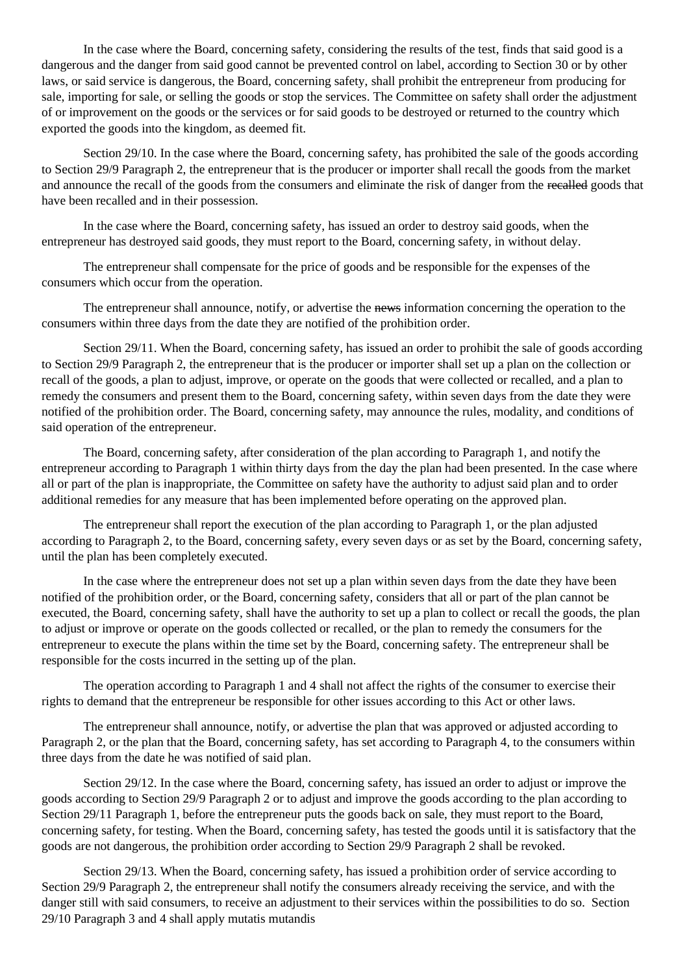In the case where the Board, concerning safety, considering the results of the test, finds that said good is a dangerous and the danger from said good cannot be prevented control on label, according to Section 30 or by other laws, or said service is dangerous, the Board, concerning safety, shall prohibit the entrepreneur from producing for sale, importing for sale, or selling the goods or stop the services. The Committee on safety shall order the adjustment of or improvement on the goods or the services or for said goods to be destroyed or returned to the country which exported the goods into the kingdom, as deemed fit.

Section 29/10. In the case where the Board, concerning safety, has prohibited the sale of the goods according to Section 29/9 Paragraph 2, the entrepreneur that is the producer or importer shall recall the goods from the market and announce the recall of the goods from the consumers and eliminate the risk of danger from the recalled goods that have been recalled and in their possession.

In the case where the Board, concerning safety, has issued an order to destroy said goods, when the entrepreneur has destroyed said goods, they must report to the Board, concerning safety, in without delay.

The entrepreneur shall compensate for the price of goods and be responsible for the expenses of the consumers which occur from the operation.

The entrepreneur shall announce, notify, or advertise the news information concerning the operation to the consumers within three days from the date they are notified of the prohibition order.

Section 29/11. When the Board, concerning safety, has issued an order to prohibit the sale of goods according to Section 29/9 Paragraph 2, the entrepreneur that is the producer or importer shall set up a plan on the collection or recall of the goods, a plan to adjust, improve, or operate on the goods that were collected or recalled, and a plan to remedy the consumers and present them to the Board, concerning safety, within seven days from the date they were notified of the prohibition order. The Board, concerning safety, may announce the rules, modality, and conditions of said operation of the entrepreneur.

The Board, concerning safety, after consideration of the plan according to Paragraph 1, and notify the entrepreneur according to Paragraph 1 within thirty days from the day the plan had been presented. In the case where all or part of the plan is inappropriate, the Committee on safety have the authority to adjust said plan and to order additional remedies for any measure that has been implemented before operating on the approved plan.

The entrepreneur shall report the execution of the plan according to Paragraph 1, or the plan adjusted according to Paragraph 2, to the Board, concerning safety, every seven days or as set by the Board, concerning safety, until the plan has been completely executed.

In the case where the entrepreneur does not set up a plan within seven days from the date they have been notified of the prohibition order, or the Board, concerning safety, considers that all or part of the plan cannot be executed, the Board, concerning safety, shall have the authority to set up a plan to collect or recall the goods, the plan to adjust or improve or operate on the goods collected or recalled, or the plan to remedy the consumers for the entrepreneur to execute the plans within the time set by the Board, concerning safety. The entrepreneur shall be responsible for the costs incurred in the setting up of the plan.

The operation according to Paragraph 1 and 4 shall not affect the rights of the consumer to exercise their rights to demand that the entrepreneur be responsible for other issues according to this Act or other laws.

The entrepreneur shall announce, notify, or advertise the plan that was approved or adjusted according to Paragraph 2, or the plan that the Board, concerning safety, has set according to Paragraph 4, to the consumers within three days from the date he was notified of said plan.

Section 29/12. In the case where the Board, concerning safety, has issued an order to adjust or improve the goods according to Section 29/9 Paragraph 2 or to adjust and improve the goods according to the plan according to Section 29/11 Paragraph 1, before the entrepreneur puts the goods back on sale, they must report to the Board, concerning safety, for testing. When the Board, concerning safety, has tested the goods until it is satisfactory that the goods are not dangerous, the prohibition order according to Section 29/9 Paragraph 2 shall be revoked.

Section 29/13. When the Board, concerning safety, has issued a prohibition order of service according to Section 29/9 Paragraph 2, the entrepreneur shall notify the consumers already receiving the service, and with the danger still with said consumers, to receive an adjustment to their services within the possibilities to do so. Section 29/10 Paragraph 3 and 4 shall apply mutatis mutandis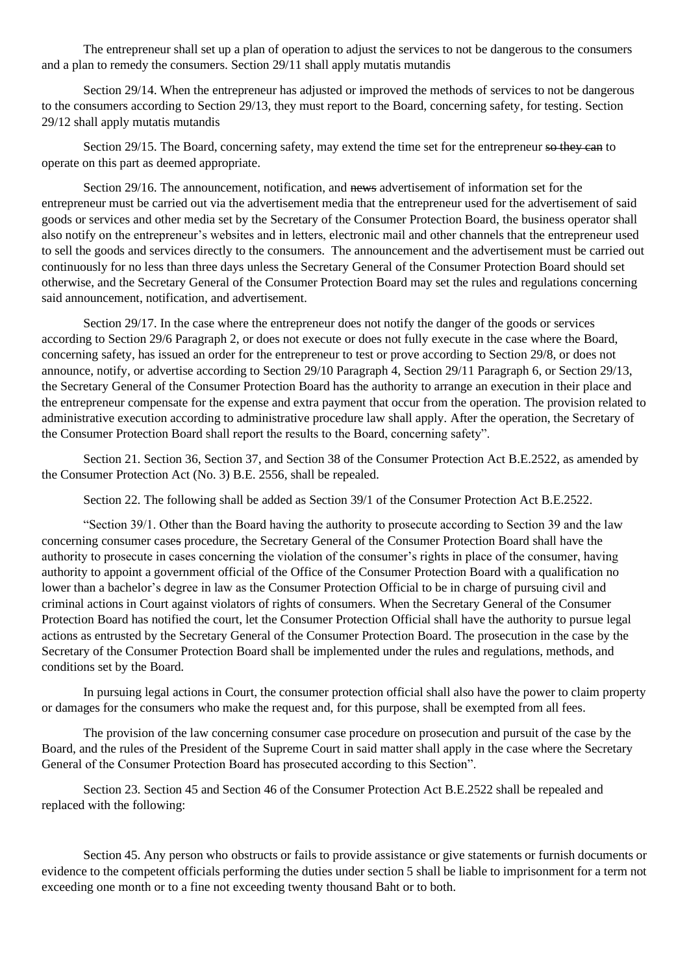The entrepreneur shall set up a plan of operation to adjust the services to not be dangerous to the consumers and a plan to remedy the consumers. Section 29/11 shall apply mutatis mutandis

Section 29/14. When the entrepreneur has adjusted or improved the methods of services to not be dangerous to the consumers according to Section 29/13, they must report to the Board, concerning safety, for testing. Section 29/12 shall apply mutatis mutandis

Section 29/15. The Board, concerning safety, may extend the time set for the entrepreneur so they can to operate on this part as deemed appropriate.

Section 29/16. The announcement, notification, and news advertisement of information set for the entrepreneur must be carried out via the advertisement media that the entrepreneur used for the advertisement of said goods or services and other media set by the Secretary of the Consumer Protection Board, the business operator shall also notify on the entrepreneur's websites and in letters, electronic mail and other channels that the entrepreneur used to sell the goods and services directly to the consumers. The announcement and the advertisement must be carried out continuously for no less than three days unless the Secretary General of the Consumer Protection Board should set otherwise, and the Secretary General of the Consumer Protection Board may set the rules and regulations concerning said announcement, notification, and advertisement.

Section 29/17. In the case where the entrepreneur does not notify the danger of the goods or services according to Section 29/6 Paragraph 2, or does not execute or does not fully execute in the case where the Board, concerning safety, has issued an order for the entrepreneur to test or prove according to Section 29/8, or does not announce, notify, or advertise according to Section 29/10 Paragraph 4, Section 29/11 Paragraph 6, or Section 29/13, the Secretary General of the Consumer Protection Board has the authority to arrange an execution in their place and the entrepreneur compensate for the expense and extra payment that occur from the operation. The provision related to administrative execution according to administrative procedure law shall apply. After the operation, the Secretary of the Consumer Protection Board shall report the results to the Board, concerning safety".

Section 21. Section 36, Section 37, and Section 38 of the Consumer Protection Act B.E.2522, as amended by the Consumer Protection Act (No. 3) B.E. 2556, shall be repealed.

Section 22. The following shall be added as Section 39/1 of the Consumer Protection Act B.E.2522.

"Section 39/1. Other than the Board having the authority to prosecute according to Section 39 and the law concerning consumer cases procedure, the Secretary General of the Consumer Protection Board shall have the authority to prosecute in cases concerning the violation of the consumer's rights in place of the consumer, having authority to appoint a government official of the Office of the Consumer Protection Board with a qualification no lower than a bachelor's degree in law as the Consumer Protection Official to be in charge of pursuing civil and criminal actions in Court against violators of rights of consumers. When the Secretary General of the Consumer Protection Board has notified the court, let the Consumer Protection Official shall have the authority to pursue legal actions as entrusted by the Secretary General of the Consumer Protection Board. The prosecution in the case by the Secretary of the Consumer Protection Board shall be implemented under the rules and regulations, methods, and conditions set by the Board.

In pursuing legal actions in Court, the consumer protection official shall also have the power to claim property or damages for the consumers who make the request and, for this purpose, shall be exempted from all fees.

The provision of the law concerning consumer case procedure on prosecution and pursuit of the case by the Board, and the rules of the President of the Supreme Court in said matter shall apply in the case where the Secretary General of the Consumer Protection Board has prosecuted according to this Section".

Section 23. Section 45 and Section 46 of the Consumer Protection Act B.E.2522 shall be repealed and replaced with the following:

Section 45. Any person who obstructs or fails to provide assistance or give statements or furnish documents or evidence to the competent officials performing the duties under section 5 shall be liable to imprisonment for a term not exceeding one month or to a fine not exceeding twenty thousand Baht or to both.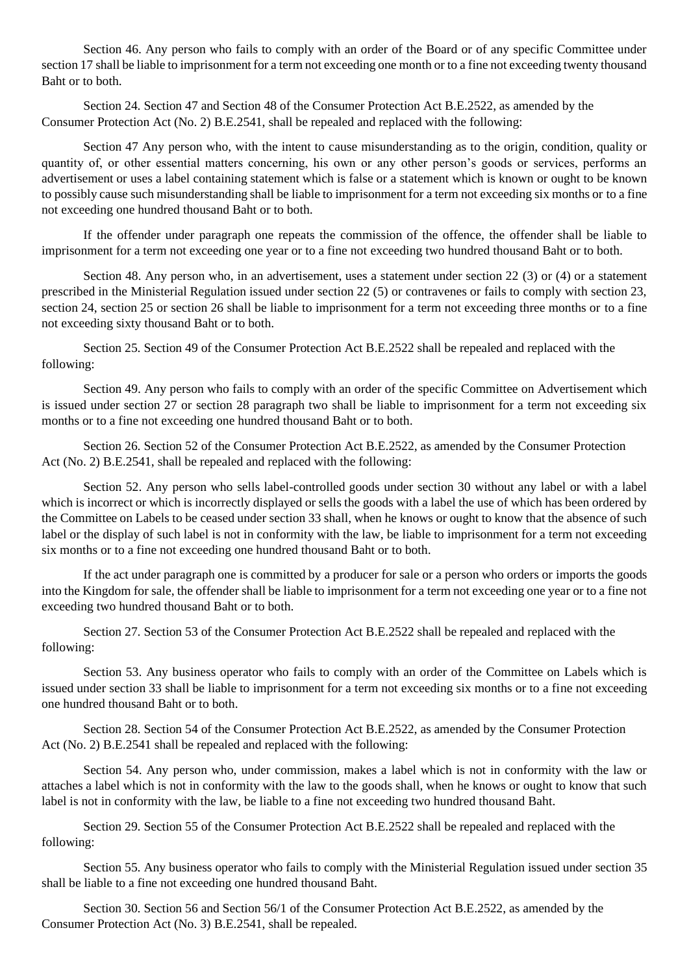Section 46. Any person who fails to comply with an order of the Board or of any specific Committee under section 17 shall be liable to imprisonment for a term not exceeding one month or to a fine not exceeding twenty thousand Baht or to both.

Section 24. Section 47 and Section 48 of the Consumer Protection Act B.E.2522, as amended by the Consumer Protection Act (No. 2) B.E.2541, shall be repealed and replaced with the following:

Section 47 Any person who, with the intent to cause misunderstanding as to the origin, condition, quality or quantity of, or other essential matters concerning, his own or any other person's goods or services, performs an advertisement or uses a label containing statement which is false or a statement which is known or ought to be known to possibly cause such misunderstanding shall be liable to imprisonment for a term not exceeding six months or to a fine not exceeding one hundred thousand Baht or to both.

If the offender under paragraph one repeats the commission of the offence, the offender shall be liable to imprisonment for a term not exceeding one year or to a fine not exceeding two hundred thousand Baht or to both.

Section 48. Any person who, in an advertisement, uses a statement under section 22 (3) or (4) or a statement prescribed in the Ministerial Regulation issued under section 22 (5) or contravenes or fails to comply with section 23, section 24, section 25 or section 26 shall be liable to imprisonment for a term not exceeding three months or to a fine not exceeding sixty thousand Baht or to both.

Section 25. Section 49 of the Consumer Protection Act B.E.2522 shall be repealed and replaced with the following:

Section 49. Any person who fails to comply with an order of the specific Committee on Advertisement which is issued under section 27 or section 28 paragraph two shall be liable to imprisonment for a term not exceeding six months or to a fine not exceeding one hundred thousand Baht or to both.

Section 26. Section 52 of the Consumer Protection Act B.E.2522, as amended by the Consumer Protection Act (No. 2) B.E.2541, shall be repealed and replaced with the following:

Section 52. Any person who sells label-controlled goods under section 30 without any label or with a label which is incorrect or which is incorrectly displayed or sells the goods with a label the use of which has been ordered by the Committee on Labels to be ceased under section 33 shall, when he knows or ought to know that the absence of such label or the display of such label is not in conformity with the law, be liable to imprisonment for a term not exceeding six months or to a fine not exceeding one hundred thousand Baht or to both.

If the act under paragraph one is committed by a producer for sale or a person who orders or imports the goods into the Kingdom for sale, the offender shall be liable to imprisonment for a term not exceeding one year or to a fine not exceeding two hundred thousand Baht or to both.

Section 27. Section 53 of the Consumer Protection Act B.E.2522 shall be repealed and replaced with the following:

Section 53. Any business operator who fails to comply with an order of the Committee on Labels which is issued under section 33 shall be liable to imprisonment for a term not exceeding six months or to a fine not exceeding one hundred thousand Baht or to both.

Section 28. Section 54 of the Consumer Protection Act B.E.2522, as amended by the Consumer Protection Act (No. 2) B.E.2541 shall be repealed and replaced with the following:

Section 54. Any person who, under commission, makes a label which is not in conformity with the law or attaches a label which is not in conformity with the law to the goods shall, when he knows or ought to know that such label is not in conformity with the law, be liable to a fine not exceeding two hundred thousand Baht.

Section 29. Section 55 of the Consumer Protection Act B.E.2522 shall be repealed and replaced with the following:

Section 55. Any business operator who fails to comply with the Ministerial Regulation issued under section 35 shall be liable to a fine not exceeding one hundred thousand Baht.

Section 30. Section 56 and Section 56/1 of the Consumer Protection Act B.E.2522, as amended by the Consumer Protection Act (No. 3) B.E.2541, shall be repealed.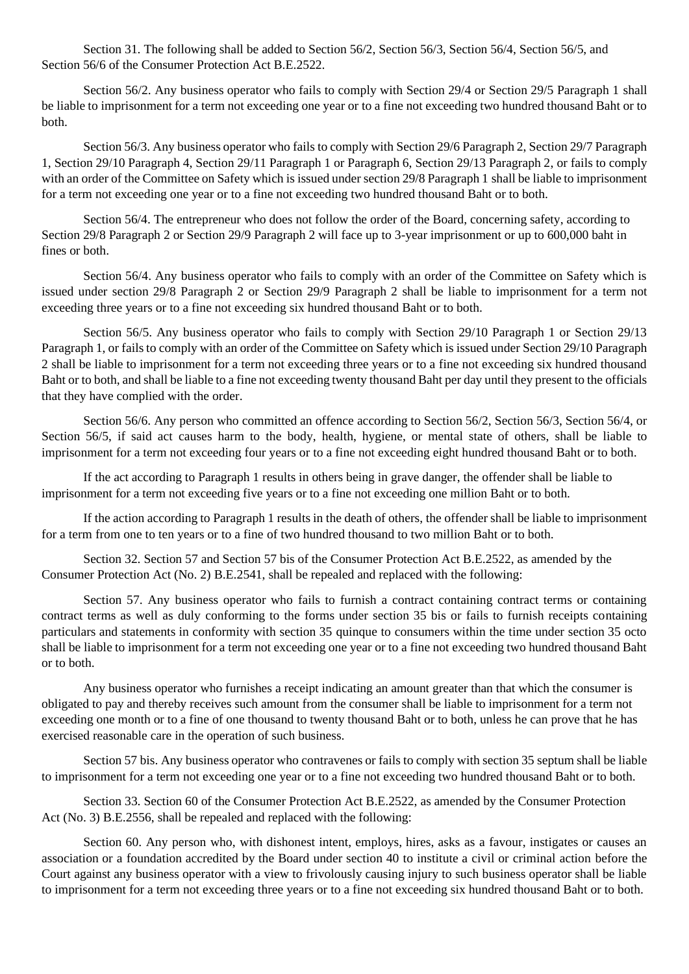Section 31. The following shall be added to Section 56/2, Section 56/3, Section 56/4, Section 56/5, and Section 56/6 of the Consumer Protection Act B.E.2522.

Section 56/2. Any business operator who fails to comply with Section 29/4 or Section 29/5 Paragraph 1 shall be liable to imprisonment for a term not exceeding one year or to a fine not exceeding two hundred thousand Baht or to both.

Section 56/3. Any business operator who fails to comply with Section 29/6 Paragraph 2, Section 29/7 Paragraph 1, Section 29/10 Paragraph 4, Section 29/11 Paragraph 1 or Paragraph 6, Section 29/13 Paragraph 2, or fails to comply with an order of the Committee on Safety which is issued under section 29/8 Paragraph 1 shall be liable to imprisonment for a term not exceeding one year or to a fine not exceeding two hundred thousand Baht or to both.

Section 56/4. The entrepreneur who does not follow the order of the Board, concerning safety, according to Section 29/8 Paragraph 2 or Section 29/9 Paragraph 2 will face up to 3-year imprisonment or up to 600,000 baht in fines or both.

Section 56/4. Any business operator who fails to comply with an order of the Committee on Safety which is issued under section 29/8 Paragraph 2 or Section 29/9 Paragraph 2 shall be liable to imprisonment for a term not exceeding three years or to a fine not exceeding six hundred thousand Baht or to both.

Section 56/5. Any business operator who fails to comply with Section 29/10 Paragraph 1 or Section 29/13 Paragraph 1, or fails to comply with an order of the Committee on Safety which is issued under Section 29/10 Paragraph 2 shall be liable to imprisonment for a term not exceeding three years or to a fine not exceeding six hundred thousand Baht or to both, and shall be liable to a fine not exceeding twenty thousand Baht per day until they present to the officials that they have complied with the order.

Section 56/6. Any person who committed an offence according to Section 56/2, Section 56/3, Section 56/4, or Section 56/5, if said act causes harm to the body, health, hygiene, or mental state of others, shall be liable to imprisonment for a term not exceeding four years or to a fine not exceeding eight hundred thousand Baht or to both.

If the act according to Paragraph 1 results in others being in grave danger, the offender shall be liable to imprisonment for a term not exceeding five years or to a fine not exceeding one million Baht or to both.

If the action according to Paragraph 1 results in the death of others, the offender shall be liable to imprisonment for a term from one to ten years or to a fine of two hundred thousand to two million Baht or to both.

Section 32. Section 57 and Section 57 bis of the Consumer Protection Act B.E.2522, as amended by the Consumer Protection Act (No. 2) B.E.2541, shall be repealed and replaced with the following:

Section 57. Any business operator who fails to furnish a contract containing contract terms or containing contract terms as well as duly conforming to the forms under section 35 bis or fails to furnish receipts containing particulars and statements in conformity with section 35 quinque to consumers within the time under section 35 octo shall be liable to imprisonment for a term not exceeding one year or to a fine not exceeding two hundred thousand Baht or to both.

Any business operator who furnishes a receipt indicating an amount greater than that which the consumer is obligated to pay and thereby receives such amount from the consumer shall be liable to imprisonment for a term not exceeding one month or to a fine of one thousand to twenty thousand Baht or to both, unless he can prove that he has exercised reasonable care in the operation of such business.

Section 57 bis. Any business operator who contravenes or fails to comply with section 35 septum shall be liable to imprisonment for a term not exceeding one year or to a fine not exceeding two hundred thousand Baht or to both.

Section 33. Section 60 of the Consumer Protection Act B.E.2522, as amended by the Consumer Protection Act (No. 3) B.E.2556, shall be repealed and replaced with the following:

Section 60. Any person who, with dishonest intent, employs, hires, asks as a favour, instigates or causes an association or a foundation accredited by the Board under section 40 to institute a civil or criminal action before the Court against any business operator with a view to frivolously causing injury to such business operator shall be liable to imprisonment for a term not exceeding three years or to a fine not exceeding six hundred thousand Baht or to both.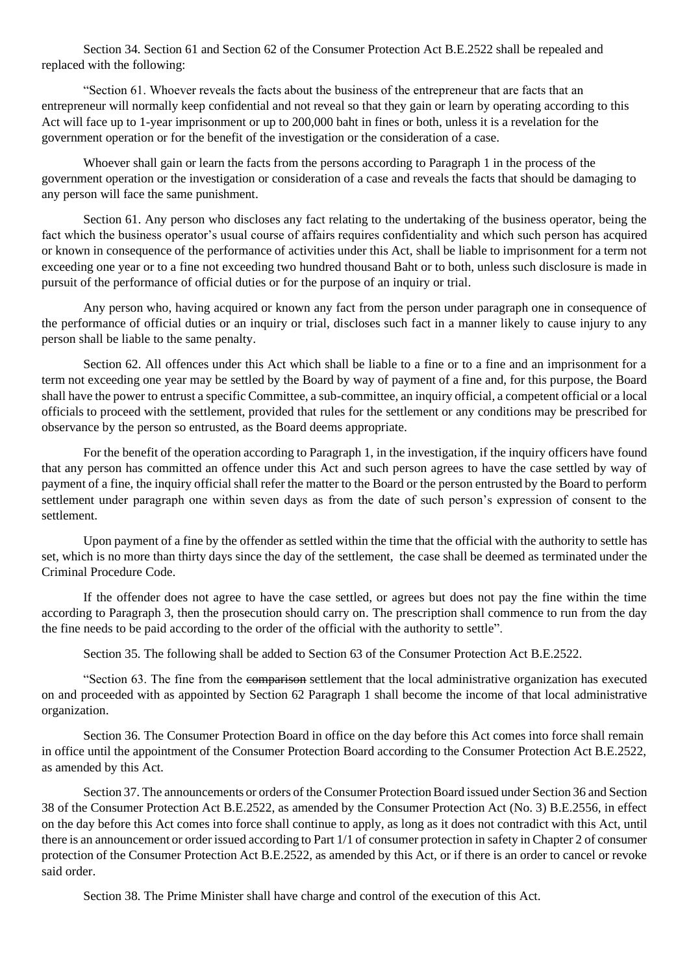Section 34. Section 61 and Section 62 of the Consumer Protection Act B.E.2522 shall be repealed and replaced with the following:

"Section 61. Whoever reveals the facts about the business of the entrepreneur that are facts that an entrepreneur will normally keep confidential and not reveal so that they gain or learn by operating according to this Act will face up to 1-year imprisonment or up to 200,000 baht in fines or both, unless it is a revelation for the government operation or for the benefit of the investigation or the consideration of a case.

Whoever shall gain or learn the facts from the persons according to Paragraph 1 in the process of the government operation or the investigation or consideration of a case and reveals the facts that should be damaging to any person will face the same punishment.

Section 61. Any person who discloses any fact relating to the undertaking of the business operator, being the fact which the business operator's usual course of affairs requires confidentiality and which such person has acquired or known in consequence of the performance of activities under this Act, shall be liable to imprisonment for a term not exceeding one year or to a fine not exceeding two hundred thousand Baht or to both, unless such disclosure is made in pursuit of the performance of official duties or for the purpose of an inquiry or trial.

Any person who, having acquired or known any fact from the person under paragraph one in consequence of the performance of official duties or an inquiry or trial, discloses such fact in a manner likely to cause injury to any person shall be liable to the same penalty.

Section 62. All offences under this Act which shall be liable to a fine or to a fine and an imprisonment for a term not exceeding one year may be settled by the Board by way of payment of a fine and, for this purpose, the Board shall have the power to entrust a specific Committee, a sub-committee, an inquiry official, a competent official or a local officials to proceed with the settlement, provided that rules for the settlement or any conditions may be prescribed for observance by the person so entrusted, as the Board deems appropriate.

For the benefit of the operation according to Paragraph 1, in the investigation, if the inquiry officers have found that any person has committed an offence under this Act and such person agrees to have the case settled by way of payment of a fine, the inquiry official shall refer the matter to the Board or the person entrusted by the Board to perform settlement under paragraph one within seven days as from the date of such person's expression of consent to the settlement.

Upon payment of a fine by the offender as settled within the time that the official with the authority to settle has set, which is no more than thirty days since the day of the settlement, the case shall be deemed as terminated under the Criminal Procedure Code.

If the offender does not agree to have the case settled, or agrees but does not pay the fine within the time according to Paragraph 3, then the prosecution should carry on. The prescription shall commence to run from the day the fine needs to be paid according to the order of the official with the authority to settle".

Section 35. The following shall be added to Section 63 of the Consumer Protection Act B.E.2522.

"Section 63. The fine from the comparison settlement that the local administrative organization has executed on and proceeded with as appointed by Section 62 Paragraph 1 shall become the income of that local administrative organization.

Section 36. The Consumer Protection Board in office on the day before this Act comes into force shall remain in office until the appointment of the Consumer Protection Board according to the Consumer Protection Act B.E.2522, as amended by this Act.

Section 37. The announcements or orders of the Consumer Protection Board issued under Section 36 and Section 38 of the Consumer Protection Act B.E.2522, as amended by the Consumer Protection Act (No. 3) B.E.2556, in effect on the day before this Act comes into force shall continue to apply, as long as it does not contradict with this Act, until there is an announcement or order issued according to Part 1/1 of consumer protection in safety in Chapter 2 of consumer protection of the Consumer Protection Act B.E.2522, as amended by this Act, or if there is an order to cancel or revoke said order.

Section 38. The Prime Minister shall have charge and control of the execution of this Act.